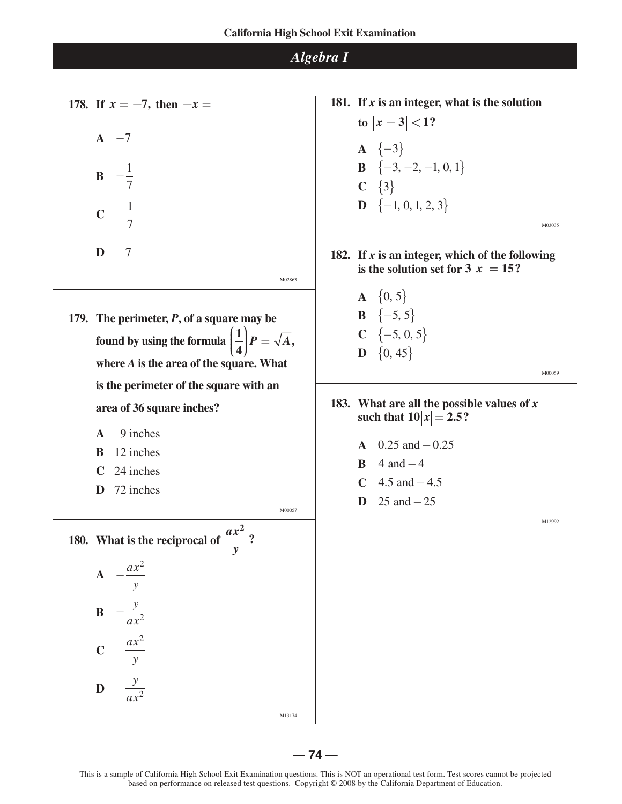**178.** If  $x = -7$ , then  $-x =$  $A -7$ **B**   $-\frac{1}{7}$ 7  $C \frac{1}{7}$ 7 **D** 7 M02863 **179. The perimeter,** *P***, of a square may be**  found by using the formula  $\left(\frac{1}{4}\right)P = \sqrt{A}$ , **where** *A* **is the area of the square. What is the perimeter of the square with an area of 36 square inches? A** 9 inches **B** 12 inches **C** 24 inches **D** 72 inches M00057 **180. What is the reciprocal of**   $\frac{ax^2}{2}$ *y*  $A - \frac{ax^2}{x}$ *y* **B**   $-\frac{y}{ax^2}$ **C**  *ax*<sup>2</sup> *y*

**D** 

*y ax*<sup>2</sup> **181. If** *x* **is an integer, what is the solution**   $|x-3|$  < 1? **A**  ${-3}$ **B**  $\{-3, -2, -1, 0, 1\}$ **C**  $\{3\}$ **D**  $\{-1, 0, 1, 2, 3\}$ 

**182. If** *x* **is an integer, which of the following is the solution set for**  $3|x| = 15$ **?** 

> **A**  $\{0, 5\}$ **B**  ${-5, 5}$  $C \{-5, 0, 5\}$  $\mathbf{D} \{ 0, 45 \}$

> > M00059

M03035

**183. What are all the possible values of** *x* **such that**  $10|x| = 2.5$ ?

- **A** 0.25 and  $-0.25$
- **B**  $4$  and  $-4$
- **C**  $4.5$  and  $-4.5$
- **D** 25 and−25

M12992

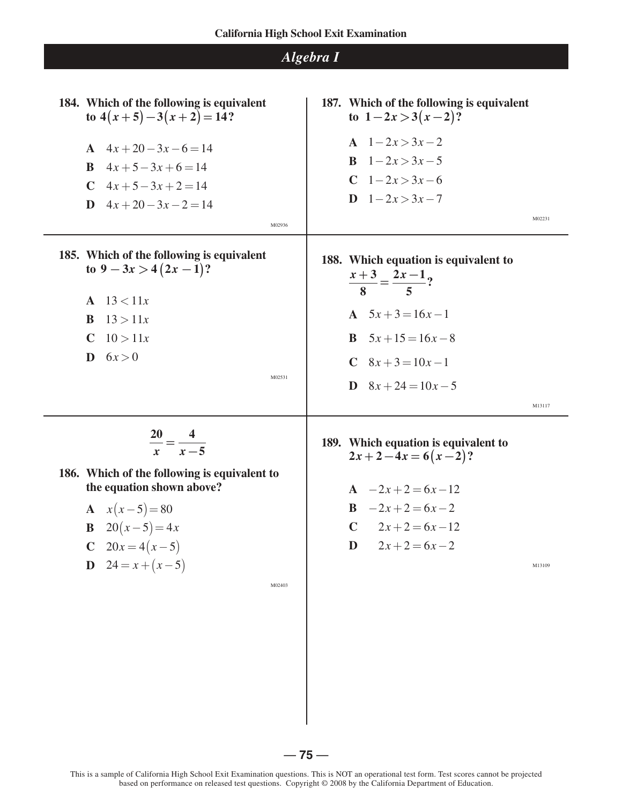| 184. Which of the following is equivalent<br>to $4(x+5)-3(x+2)=14?$<br>A $4x+20-3x-6=14$<br>$4x+5-3x+6=14$<br><sup>B</sup><br>$C \quad 4x + 5 - 3x + 2 = 14$<br><b>D</b> $4x+20-3x-2=14$<br>M02936                                            | 187. Which of the following is equivalent<br>to $1-2x > 3(x-2)$ ?<br>A $1-2x>3x-2$<br><b>B</b> $1-2x>3x-5$<br>$C \quad 1 - 2x > 3x - 6$<br>$D \quad 1 - 2x > 3x - 7$<br>M02231     |
|-----------------------------------------------------------------------------------------------------------------------------------------------------------------------------------------------------------------------------------------------|------------------------------------------------------------------------------------------------------------------------------------------------------------------------------------|
| 185. Which of the following is equivalent<br>to $9 - 3x > 4(2x - 1)$ ?<br>13 < 11x<br>$\mathbf{A}$<br>13 > 11x<br>B<br>10 > 11x<br>$\mathbf C$<br>6x > 0<br>D<br>M02531                                                                       | 188. Which equation is equivalent to<br>$\frac{x+3}{8} = \frac{2x-1}{5}$ ?<br>A $5x+3=16x-1$<br><b>B</b> $5x+15=16x-8$<br>C $8x+3=10x-1$<br><b>D</b> $8x + 24 = 10x - 5$<br>M13117 |
| $\frac{20}{2} = \frac{4}{1}$<br>$x - 5$<br>$\mathbf{x}$<br>186. Which of the following is equivalent to<br>the equation shown above?<br>$x(x-5)=80$<br><b>B</b> $20(x-5)=4x$<br>$20x = 4(x-5)$<br>$24 = x + (x - 5)$<br>$\mathbf D$<br>M02403 | 189. Which equation is equivalent to<br>$2x+2-4x=6(x-2)?$<br>$A -2x+2=6x-12$<br>$B -2x+2=6x-2$<br>C $2x+2=6x-12$<br>$2x+2=6x-2$<br>D<br>M13109                                     |

This is a sample of California High School Exit Examination questions. This is NOT an operational test form. Test scores cannot be projected based on performance on released test questions. Copyright © 2008 by the California Department of Education.

 $-75-$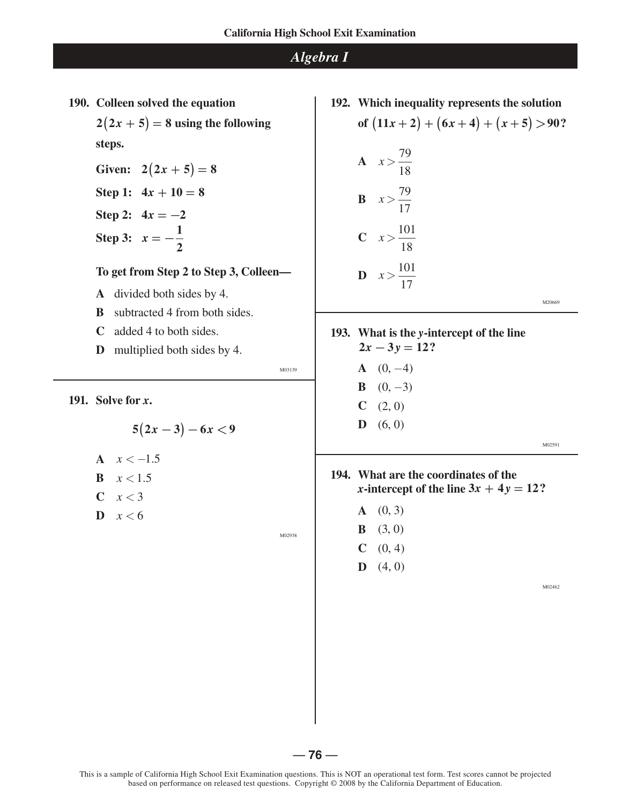**190. Colleen solved the equation**   $2(2x + 5) = 8$  **using the following steps. Given:**  $2(2x + 5) = 8$ **Step 1:**  $4x + 10 = 8$ **Step 2:**  $4x = -2$ **Step 3:**  $x = -\frac{1}{2}$ **2 To get from Step 2 to Step 3, Colleen— A** divided both sides by 4. **B** subtracted 4 from both sides. **C** added 4 to both sides. **D** multiplied both sides by 4. M03139 **191. Solve for** *x***.**  $5(2x-3)-6x<9$ A  $x < -1.5$ **B**  $x < 1.5$  $C \quad x < 3$  $\mathbf{D} \quad x < 6$ **192. Which inequality represents the solution of**  $(11x + 2) + (6x + 4) + (x + 5) > 90$ ? **A**  $x > \frac{79}{18}$ M02938 18 **B**  $x > \frac{79}{17}$ 17 **C**  $x > \frac{101}{10}$ 18 **D**<sub> $x > \frac{101}{17}$ </sub> 17 M20669 **193. What is the** *y***-intercept of the line**   $2x - 3y = 12?$  $A (0, -4)$ **B**  $(0, -3)$  $C \quad (2, 0)$  $\mathbf{D}$  (6, 0) M02591 **194. What are the coordinates of the** *x***-intercept of the line**  $3x + 4y = 12$ **?**  $A (0, 3)$ **B**  $(3, 0)$  $C \quad (0, 4)$  $\mathbf{D}$  (4, 0) M02462

 $-76 -$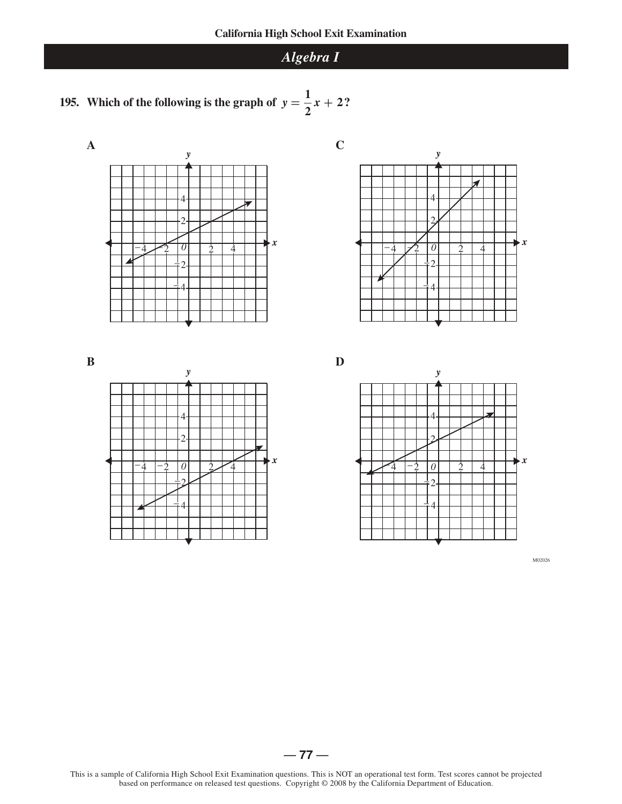





**B** 



**D**



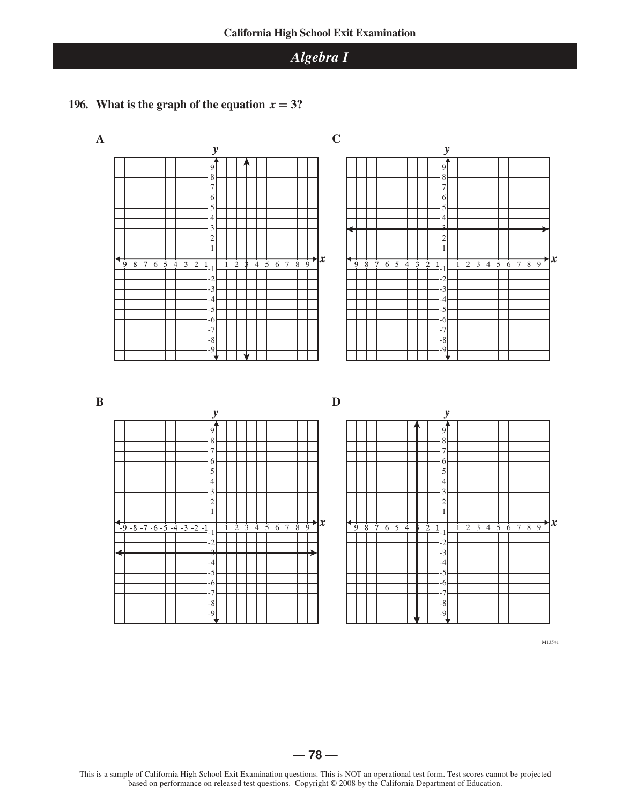## **196.** What is the graph of the equation  $x = 3$ ?



M13541

 $-78-$ 

This is a sample of California High School Exit Examination questions. This is NOT an operational test form. Test scores cannot be projected based on performance on released test questions. Copyright © 2008 by the California Department of Education.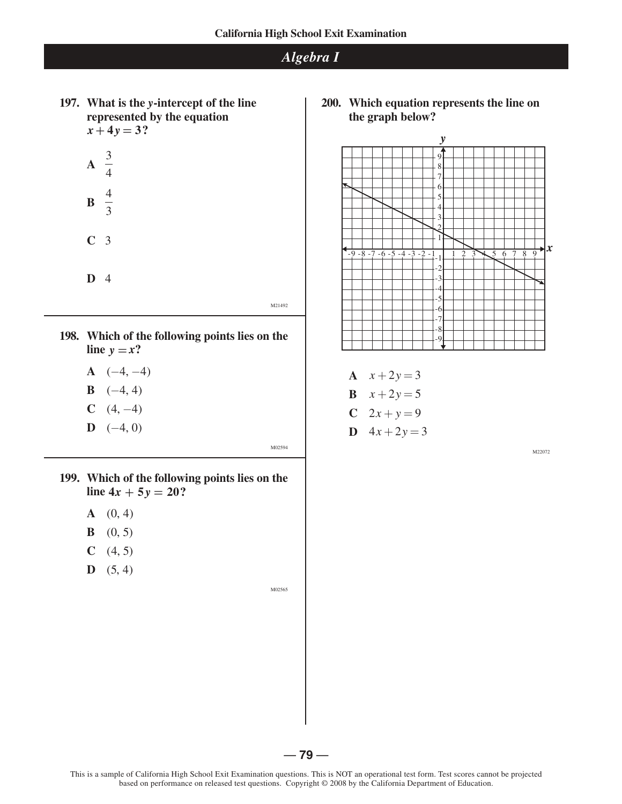**197. What is the** *y***-intercept of the line represented by the equation**  $x + 4y = 3$ ?

$$
A \quad \frac{3}{4}
$$
  

$$
B \quad \frac{4}{3}
$$
  

$$
C \quad 3
$$

**D** 4

M21492

- **198. Which of the following points lies on the**  line  $y = x$ ?
	- $A \quad (-4, -4)$
	- **B**  $(-4, 4)$
	- **C**  $(4, -4)$
	- $D \quad (-4, 0)$

M02594

- **199. Which of the following points lies on the**   $\text{line } 4x + 5y = 20?$ 
	- $A (0, 4)$
	- **B**  $(0, 5)$
	- $C \quad (4, 5)$
	- $D (5, 4)$

M02565

**200. Which equation represents the line on the graph below?**



- **A**  $x + 2y = 3$
- **B**  $x + 2y = 5$
- **C**  $2x + y = 9$
- **D**  $4x + 2y = 3$

M22072

 $-79-$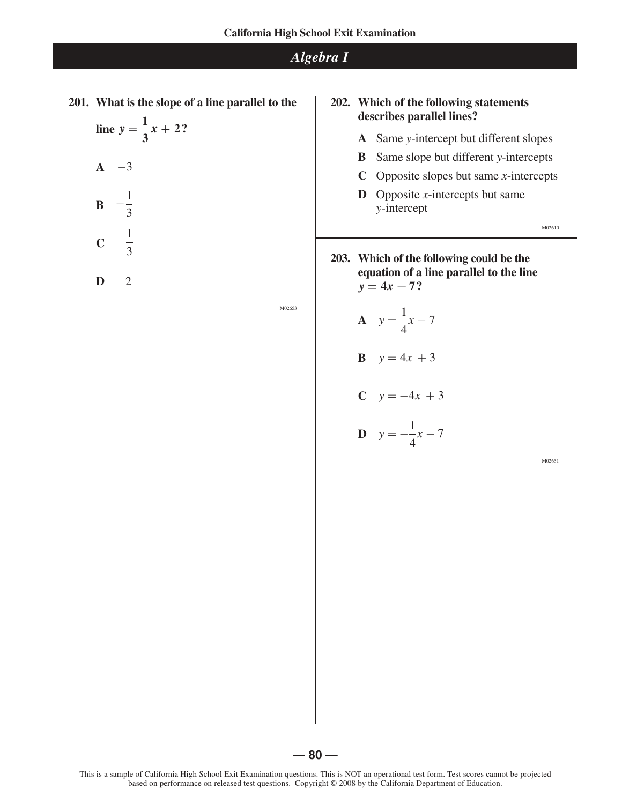**201. What is the slope of a line parallel to the**

line 
$$
y = \frac{1}{3}x + 2?
$$

**A** -3  
\n**B** 
$$
-\frac{1}{3}
$$
  
\n**C**  $\frac{1}{3}$ 

**D** 2

M02653

#### **202. Which of the following statements describes parallel lines?**

- **A** Same *y*-intercept but different slopes
- **B** Same slope but different *y*-intercepts
- **C** Opposite slopes but same *x*-intercepts
- **D** Opposite *x*-intercepts but same *y*-intercept

M02610

**203. Which of the following could be the equation of a line parallel to the line**  $y = 4x - 7$ ?

$$
A \quad y = \frac{1}{4}x - 7
$$

$$
B \quad y = 4x + 3
$$

$$
C \quad y = -4x + 3
$$

$$
D \quad y = -\frac{1}{4}x - 7
$$

M02651

 $-80-$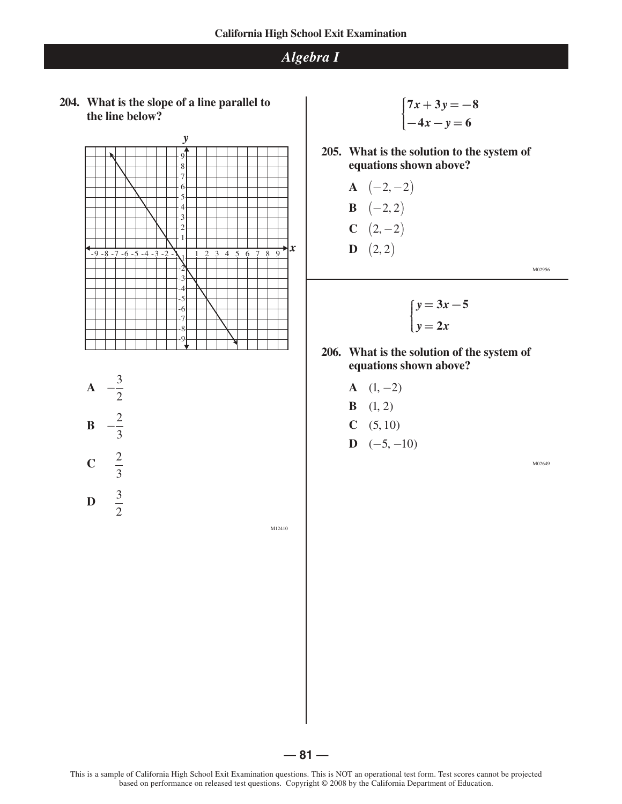**204. What is the slope of a line parallel to the line below?**



**A** 
$$
-\frac{3}{2}
$$
  
\n**B**  $-\frac{2}{3}$   
\n**C**  $\frac{2}{3}$   
\n**D**  $\frac{3}{2}$ 

2

 $\begin{cases} 7x + 3y = -8 \\ -4x - y = 6 \end{cases}$ 

**205. What is the solution to the system of equations shown above?**

**A** 
$$
(-2, -2)
$$
  
\n**B**  $(-2, 2)$   
\n**C**  $(2, -2)$   
\n**D**  $(2, 2)$ 

M02956

$$
\begin{cases}\ny = 3x - 5 \\
y = 2x\n\end{cases}
$$

- **206. What is the solution of the system of equations shown above?** 
	- $A \quad (1, -2)$
	- **B**  $(1, 2)$
	- **C**  $(5, 10)$
	- $D \quad (-5, -10)$

M02649

This is a sample of California High School Exit Examination questions. This is NOT an operational test form. Test scores cannot be projected based on performance on released test questions. Copyright © 2008 by the California Department of Education.

 $-81-$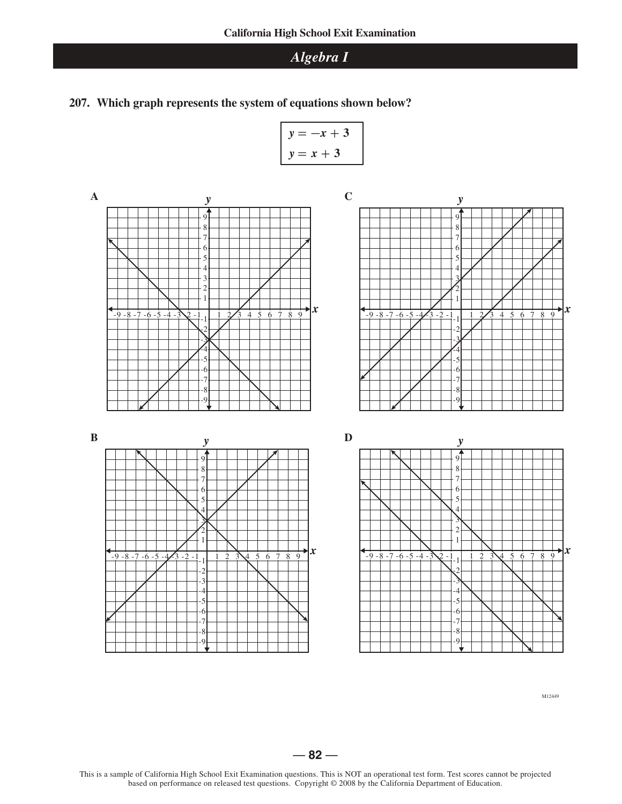**207. Which graph represents the system of equations shown below?** 

$$
y = -x + 3
$$
  
y = x + 3



-6 -7 -8 -9



*y*

M12449

$$
-82-
$$

This is a sample of California High School Exit Examination questions. This is NOT an operational test form. Test scores cannot be projected based on performance on released test questions. Copyright © 2008 by the California Department of Education.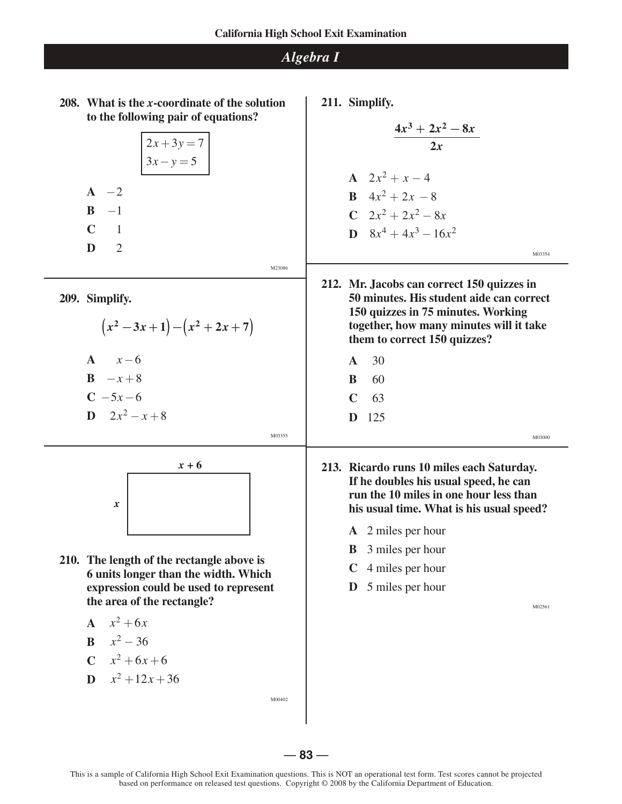

|  |                | $\begin{array}{ c }\n2x + 3y = 7 \\ 3x - y = 5\n\end{array}$ |        |
|--|----------------|--------------------------------------------------------------|--------|
|  |                |                                                              |        |
|  | $A -2$         |                                                              |        |
|  | $B -1$         |                                                              |        |
|  | $C \t1$        |                                                              |        |
|  | $\mathbf{D}$ 2 |                                                              |        |
|  |                |                                                              | M23086 |
|  | 209. Simplify. |                                                              |        |
|  |                | $(x^2-3x+1)-(x^2+2x+7)$                                      |        |
|  | $A \quad x-6$  |                                                              |        |
|  | $B = x + 8$    |                                                              |        |

 $C - 5x - 6$ 

$$
D \quad 2x^2 - x + 8
$$



**210. The length of the rectangle above is 6 units longer than the width. Which expression could be used to represent the area of the rectangle?**

$$
A \quad x^2 + 6x
$$

$$
B = x^2 - 36
$$

$$
C \quad x^2 + 6x + 6
$$

$$
D \quad x^2 + 12x + 36
$$

M00402

M03355

**211. Simplify.**

$$
\frac{4x^3 + 2x^2 - 8x}{2x}
$$
\nA  $2x^2 + x - 4$   
\nB  $4x^2 + 2x - 8$   
\nC  $2x^2 + 2x^2 - 8x$   
\nD  $8x^4 + 4x^3 - 16x^2$   
\n212. Mr. Jacobs can correct 150 quizes in 50 minutes. His student side can correct 170

- **150 quizzes in 75 minutes. Working together, how many minutes will it take them to correct 150 quizzes?** 
	- **A** 30 **B** 60

**C** 63

**D** 125

M03000

- **213. Ricardo runs 10 miles each Saturday. If he doubles his usual speed, he can run the 10 miles in one hour less than his usual time. What is his usual speed?** 
	- **A** 2 miles per hour
	- **B** 3 miles per hour
	- **C** 4 miles per hour
	- **D** 5 miles per hour

M02561

— **83** —